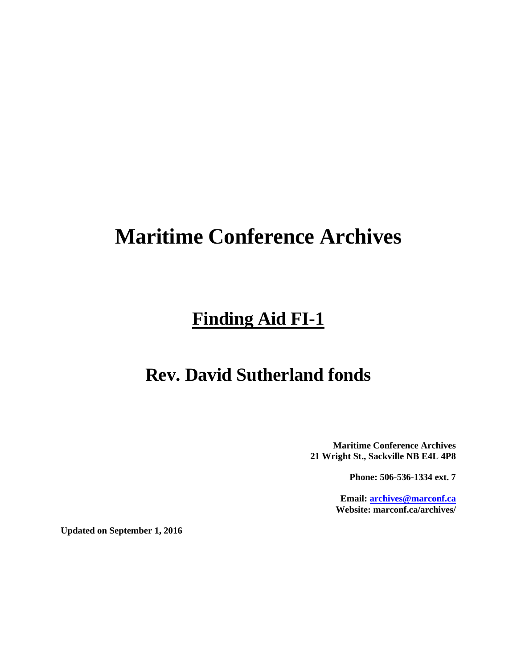# **Maritime Conference Archives**

## **Finding Aid FI-1**

### **Rev. David Sutherland fonds**

**Maritime Conference Archives 21 Wright St., Sackville NB E4L 4P8**

**Phone: 506-536-1334 ext. 7**

**Email: [archives@marconf.ca](mailto:archives@marconf.ca) Website: marconf.ca/archives/**

**Updated on September 1, 2016**